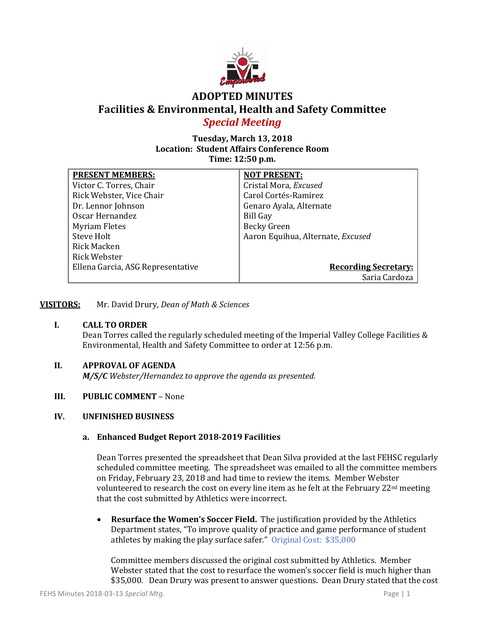

# **ADOPTED MINUTES Facilities & Environmental, Health and Safety Committee** *Special Meeting*

## **Tuesday, March 13, 2018 Location: Student Affairs Conference Room Time: 12:50 p.m.**

| <b>PRESENT MEMBERS:</b>           | <b>NOT PRESENT:</b>               |
|-----------------------------------|-----------------------------------|
| Victor C. Torres, Chair           | Cristal Mora, Excused             |
| Rick Webster, Vice Chair          | Carol Cortés-Ramirez              |
| Dr. Lennor Johnson                | Genaro Ayala, Alternate           |
| Oscar Hernandez                   | <b>Bill Gay</b>                   |
| <b>Myriam Fletes</b>              | <b>Becky Green</b>                |
| Steve Holt                        | Aaron Equihua, Alternate, Excused |
| Rick Macken                       |                                   |
| Rick Webster                      |                                   |
| Ellena Garcia, ASG Representative | <b>Recording Secretary:</b>       |
|                                   | Saria Cardoza                     |

**VISITORS:** Mr. David Drury, *Dean of Math & Sciences*

## **I. CALL TO ORDER**

Dean Torres called the regularly scheduled meeting of the Imperial Valley College Facilities & Environmental, Health and Safety Committee to order at 12:56 p.m.

## **II. APPROVAL OF AGENDA**

*M/S/C Webster/Hernandez to approve the agenda as presented.*

## **III. PUBLIC COMMENT** – None

## **IV. UNFINISHED BUSINESS**

## **a. Enhanced Budget Report 2018-2019 Facilities**

Dean Torres presented the spreadsheet that Dean Silva provided at the last FEHSC regularly scheduled committee meeting. The spreadsheet was emailed to all the committee members on Friday, February 23, 2018 and had time to review the items. Member Webster volunteered to research the cost on every line item as he felt at the February 22nd meeting that the cost submitted by Athletics were incorrect.

• **Resurface the Women's Soccer Field.** The justification provided by the Athletics Department states, "To improve quality of practice and game performance of student athletes by making the play surface safer." Original Cost: \$35,000

Committee members discussed the original cost submitted by Athletics. Member Webster stated that the cost to resurface the women's soccer field is much higher than \$35,000. Dean Drury was present to answer questions. Dean Drury stated that the cost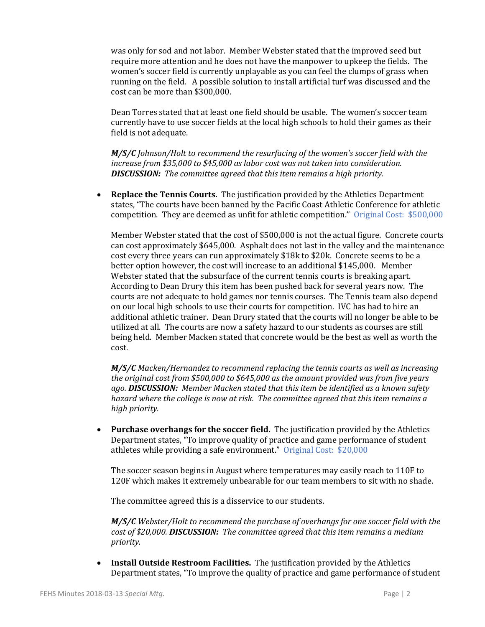was only for sod and not labor. Member Webster stated that the improved seed but require more attention and he does not have the manpower to upkeep the fields. The women's soccer field is currently unplayable as you can feel the clumps of grass when running on the field. A possible solution to install artificial turf was discussed and the cost can be more than \$300,000.

Dean Torres stated that at least one field should be usable. The women's soccer team currently have to use soccer fields at the local high schools to hold their games as their field is not adequate.

*M/S/C Johnson/Holt to recommend the resurfacing of the women's soccer field with the increase from \$35,000 to \$45,000 as labor cost was not taken into consideration. DISCUSSION: The committee agreed that this item remains a high priority.* 

• **Replace the Tennis Courts.** The justification provided by the Athletics Department states, "The courts have been banned by the Pacific Coast Athletic Conference for athletic competition. They are deemed as unfit for athletic competition." Original Cost: \$500,000

Member Webster stated that the cost of \$500,000 is not the actual figure. Concrete courts can cost approximately \$645,000. Asphalt does not last in the valley and the maintenance cost every three years can run approximately \$18k to \$20k. Concrete seems to be a better option however, the cost will increase to an additional \$145,000. Member Webster stated that the subsurface of the current tennis courts is breaking apart. According to Dean Drury this item has been pushed back for several years now. The courts are not adequate to hold games nor tennis courses. The Tennis team also depend on our local high schools to use their courts for competition. IVC has had to hire an additional athletic trainer. Dean Drury stated that the courts will no longer be able to be utilized at all. The courts are now a safety hazard to our students as courses are still being held. Member Macken stated that concrete would be the best as well as worth the cost.

*M/S/C Macken/Hernandez to recommend replacing the tennis courts as well as increasing the original cost from \$500,000 to \$645,000 as the amount provided was from five years ago. DISCUSSION: Member Macken stated that this item be identified as a known safety hazard where the college is now at risk. The committee agreed that this item remains a high priority.*

• **Purchase overhangs for the soccer field.** The justification provided by the Athletics Department states, "To improve quality of practice and game performance of student athletes while providing a safe environment." Original Cost: \$20,000

The soccer season begins in August where temperatures may easily reach to 110F to 120F which makes it extremely unbearable for our team members to sit with no shade.

The committee agreed this is a disservice to our students.

*M/S/C Webster/Holt to recommend the purchase of overhangs for one soccer field with the cost of \$20,000. DISCUSSION: The committee agreed that this item remains a medium priority.*

• **Install Outside Restroom Facilities.** The justification provided by the Athletics Department states, "To improve the quality of practice and game performance of student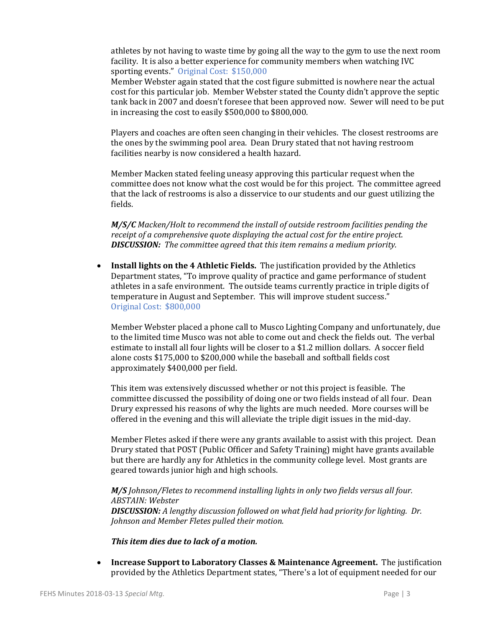athletes by not having to waste time by going all the way to the gym to use the next room facility. It is also a better experience for community members when watching IVC sporting events." Original Cost: \$150,000

Member Webster again stated that the cost figure submitted is nowhere near the actual cost for this particular job. Member Webster stated the County didn't approve the septic tank back in 2007 and doesn't foresee that been approved now. Sewer will need to be put in increasing the cost to easily \$500,000 to \$800,000.

Players and coaches are often seen changing in their vehicles. The closest restrooms are the ones by the swimming pool area. Dean Drury stated that not having restroom facilities nearby is now considered a health hazard.

Member Macken stated feeling uneasy approving this particular request when the committee does not know what the cost would be for this project. The committee agreed that the lack of restrooms is also a disservice to our students and our guest utilizing the fields.

*M/S/C Macken/Holt to recommend the install of outside restroom facilities pending the receipt of a comprehensive quote displaying the actual cost for the entire project. DISCUSSION: The committee agreed that this item remains a medium priority.*

• **Install lights on the 4 Athletic Fields.** The justification provided by the Athletics Department states, "To improve quality of practice and game performance of student athletes in a safe environment. The outside teams currently practice in triple digits of temperature in August and September. This will improve student success." Original Cost: \$800,000

Member Webster placed a phone call to Musco Lighting Company and unfortunately, due to the limited time Musco was not able to come out and check the fields out. The verbal estimate to install all four lights will be closer to a \$1.2 million dollars. A soccer field alone costs \$175,000 to \$200,000 while the baseball and softball fields cost approximately \$400,000 per field.

This item was extensively discussed whether or not this project is feasible. The committee discussed the possibility of doing one or two fields instead of all four. Dean Drury expressed his reasons of why the lights are much needed. More courses will be offered in the evening and this will alleviate the triple digit issues in the mid-day.

Member Fletes asked if there were any grants available to assist with this project. Dean Drury stated that POST (Public Officer and Safety Training) might have grants available but there are hardly any for Athletics in the community college level. Most grants are geared towards junior high and high schools.

#### *M/S Johnson/Fletes to recommend installing lights in only two fields versus all four. ABSTAIN: Webster*

*DISCUSSION: A lengthy discussion followed on what field had priority for lighting. Dr. Johnson and Member Fletes pulled their motion.* 

## *This item dies due to lack of a motion.*

• **Increase Support to Laboratory Classes & Maintenance Agreement.** The justification provided by the Athletics Department states, "There's a lot of equipment needed for our